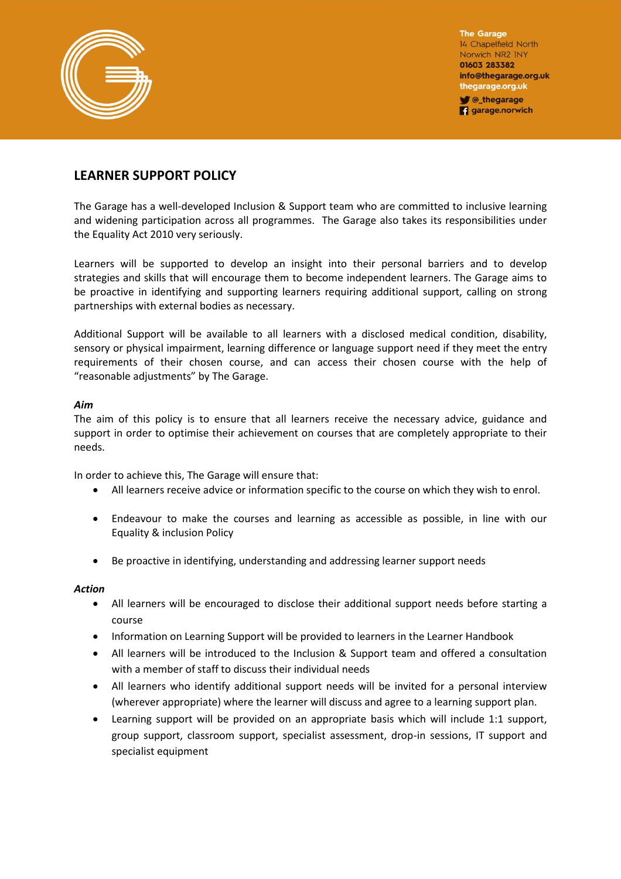

**The Garage** 14 Chapelfield North Norwich NR2 INY 01603 283382 info@thegarage.org.uk thegarage.org.uk C\_thegarage

**q** garage.norwich

## **LEARNER SUPPORT POLICY**

The Garage has a well-developed Inclusion & Support team who are committed to inclusive learning and widening participation across all programmes. The Garage also takes its responsibilities under the Equality Act 2010 very seriously.

Learners will be supported to develop an insight into their personal barriers and to develop strategies and skills that will encourage them to become independent learners. The Garage aims to be proactive in identifying and supporting learners requiring additional support, calling on strong partnerships with external bodies as necessary.

Additional Support will be available to all learners with a disclosed medical condition, disability, sensory or physical impairment, learning difference or language support need if they meet the entry requirements of their chosen course, and can access their chosen course with the help of "reasonable adjustments" by The Garage.

## *Aim*

The aim of this policy is to ensure that all learners receive the necessary advice, guidance and support in order to optimise their achievement on courses that are completely appropriate to their needs.

In order to achieve this, The Garage will ensure that:

- All learners receive advice or information specific to the course on which they wish to enrol.
- Endeavour to make the courses and learning as accessible as possible, in line with our Equality & inclusion Policy
- Be proactive in identifying, understanding and addressing learner support needs

## *Action*

- All learners will be encouraged to disclose their additional support needs before starting a course
- Information on Learning Support will be provided to learners in the Learner Handbook
- All learners will be introduced to the Inclusion & Support team and offered a consultation with a member of staff to discuss their individual needs
- All learners who identify additional support needs will be invited for a personal interview (wherever appropriate) where the learner will discuss and agree to a learning support plan.
- Learning support will be provided on an appropriate basis which will include 1:1 support, group support, classroom support, specialist assessment, drop-in sessions, IT support and specialist equipment